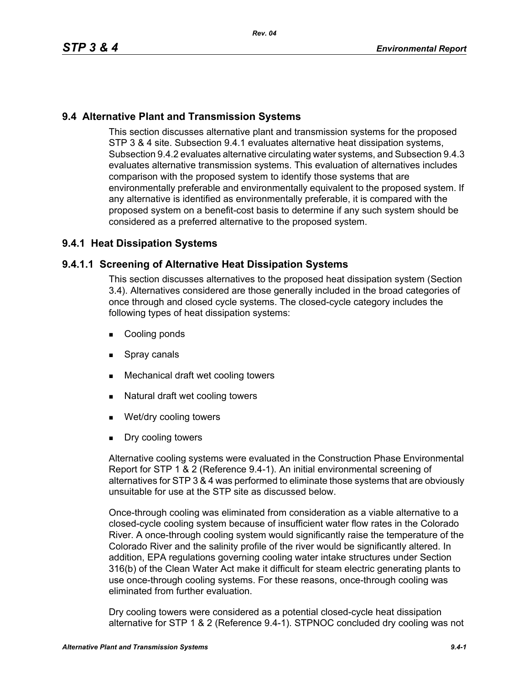# **9.4 Alternative Plant and Transmission Systems**

This section discusses alternative plant and transmission systems for the proposed STP 3 & 4 site. Subsection 9.4.1 evaluates alternative heat dissipation systems, Subsection 9.4.2 evaluates alternative circulating water systems, and Subsection 9.4.3 evaluates alternative transmission systems. This evaluation of alternatives includes comparison with the proposed system to identify those systems that are environmentally preferable and environmentally equivalent to the proposed system. If any alternative is identified as environmentally preferable, it is compared with the proposed system on a benefit-cost basis to determine if any such system should be considered as a preferred alternative to the proposed system.

# **9.4.1 Heat Dissipation Systems**

## **9.4.1.1 Screening of Alternative Heat Dissipation Systems**

This section discusses alternatives to the proposed heat dissipation system (Section 3.4). Alternatives considered are those generally included in the broad categories of once through and closed cycle systems. The closed-cycle category includes the following types of heat dissipation systems:

- Cooling ponds
- **Spray canals**
- **Mechanical draft wet cooling towers**
- Natural draft wet cooling towers
- Wet/dry cooling towers
- Dry cooling towers

Alternative cooling systems were evaluated in the Construction Phase Environmental Report for STP 1 & 2 (Reference 9.4-1). An initial environmental screening of alternatives for STP 3 & 4 was performed to eliminate those systems that are obviously unsuitable for use at the STP site as discussed below.

Once-through cooling was eliminated from consideration as a viable alternative to a closed-cycle cooling system because of insufficient water flow rates in the Colorado River. A once-through cooling system would significantly raise the temperature of the Colorado River and the salinity profile of the river would be significantly altered. In addition, EPA regulations governing cooling water intake structures under Section 316(b) of the Clean Water Act make it difficult for steam electric generating plants to use once-through cooling systems. For these reasons, once-through cooling was eliminated from further evaluation.

Dry cooling towers were considered as a potential closed-cycle heat dissipation alternative for STP 1 & 2 (Reference 9.4-1). STPNOC concluded dry cooling was not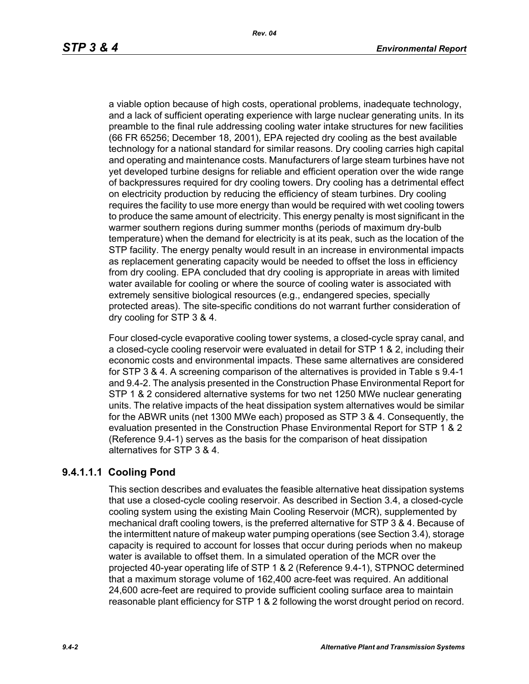a viable option because of high costs, operational problems, inadequate technology, and a lack of sufficient operating experience with large nuclear generating units. In its preamble to the final rule addressing cooling water intake structures for new facilities (66 FR 65256; December 18, 2001), EPA rejected dry cooling as the best available technology for a national standard for similar reasons. Dry cooling carries high capital and operating and maintenance costs. Manufacturers of large steam turbines have not yet developed turbine designs for reliable and efficient operation over the wide range of backpressures required for dry cooling towers. Dry cooling has a detrimental effect on electricity production by reducing the efficiency of steam turbines. Dry cooling requires the facility to use more energy than would be required with wet cooling towers to produce the same amount of electricity. This energy penalty is most significant in the warmer southern regions during summer months (periods of maximum dry-bulb temperature) when the demand for electricity is at its peak, such as the location of the STP facility. The energy penalty would result in an increase in environmental impacts as replacement generating capacity would be needed to offset the loss in efficiency from dry cooling. EPA concluded that dry cooling is appropriate in areas with limited water available for cooling or where the source of cooling water is associated with extremely sensitive biological resources (e.g., endangered species, specially protected areas). The site-specific conditions do not warrant further consideration of dry cooling for STP 3 & 4.

Four closed-cycle evaporative cooling tower systems, a closed-cycle spray canal, and a closed-cycle cooling reservoir were evaluated in detail for STP 1 & 2, including their economic costs and environmental impacts. These same alternatives are considered for STP 3 & 4. A screening comparison of the alternatives is provided in Table s 9.4-1 and 9.4-2. The analysis presented in the Construction Phase Environmental Report for STP 1 & 2 considered alternative systems for two net 1250 MWe nuclear generating units. The relative impacts of the heat dissipation system alternatives would be similar for the ABWR units (net 1300 MWe each) proposed as STP 3 & 4. Consequently, the evaluation presented in the Construction Phase Environmental Report for STP 1 & 2 (Reference 9.4-1) serves as the basis for the comparison of heat dissipation alternatives for STP 3 & 4.

# **9.4.1.1.1 Cooling Pond**

This section describes and evaluates the feasible alternative heat dissipation systems that use a closed-cycle cooling reservoir. As described in Section 3.4, a closed-cycle cooling system using the existing Main Cooling Reservoir (MCR), supplemented by mechanical draft cooling towers, is the preferred alternative for STP 3 & 4. Because of the intermittent nature of makeup water pumping operations (see Section 3.4), storage capacity is required to account for losses that occur during periods when no makeup water is available to offset them. In a simulated operation of the MCR over the projected 40-year operating life of STP 1 & 2 (Reference 9.4-1), STPNOC determined that a maximum storage volume of 162,400 acre-feet was required. An additional 24,600 acre-feet are required to provide sufficient cooling surface area to maintain reasonable plant efficiency for STP 1 & 2 following the worst drought period on record.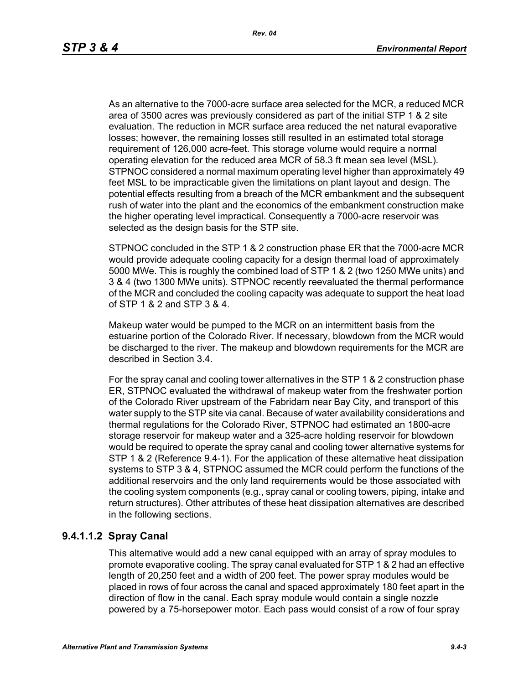As an alternative to the 7000-acre surface area selected for the MCR, a reduced MCR area of 3500 acres was previously considered as part of the initial STP 1 & 2 site evaluation. The reduction in MCR surface area reduced the net natural evaporative losses; however, the remaining losses still resulted in an estimated total storage requirement of 126,000 acre-feet. This storage volume would require a normal operating elevation for the reduced area MCR of 58.3 ft mean sea level (MSL). STPNOC considered a normal maximum operating level higher than approximately 49 feet MSL to be impracticable given the limitations on plant layout and design. The potential effects resulting from a breach of the MCR embankment and the subsequent rush of water into the plant and the economics of the embankment construction make the higher operating level impractical. Consequently a 7000-acre reservoir was selected as the design basis for the STP site.

STPNOC concluded in the STP 1 & 2 construction phase ER that the 7000-acre MCR would provide adequate cooling capacity for a design thermal load of approximately 5000 MWe. This is roughly the combined load of STP 1 & 2 (two 1250 MWe units) and 3 & 4 (two 1300 MWe units). STPNOC recently reevaluated the thermal performance of the MCR and concluded the cooling capacity was adequate to support the heat load of STP 1 & 2 and STP 3 & 4.

Makeup water would be pumped to the MCR on an intermittent basis from the estuarine portion of the Colorado River. If necessary, blowdown from the MCR would be discharged to the river. The makeup and blowdown requirements for the MCR are described in Section 3.4.

For the spray canal and cooling tower alternatives in the STP 1 & 2 construction phase ER, STPNOC evaluated the withdrawal of makeup water from the freshwater portion of the Colorado River upstream of the Fabridam near Bay City, and transport of this water supply to the STP site via canal. Because of water availability considerations and thermal regulations for the Colorado River, STPNOC had estimated an 1800-acre storage reservoir for makeup water and a 325-acre holding reservoir for blowdown would be required to operate the spray canal and cooling tower alternative systems for STP 1 & 2 (Reference 9.4-1). For the application of these alternative heat dissipation systems to STP 3 & 4, STPNOC assumed the MCR could perform the functions of the additional reservoirs and the only land requirements would be those associated with the cooling system components (e.g., spray canal or cooling towers, piping, intake and return structures). Other attributes of these heat dissipation alternatives are described in the following sections.

# **9.4.1.1.2 Spray Canal**

This alternative would add a new canal equipped with an array of spray modules to promote evaporative cooling. The spray canal evaluated for STP 1 & 2 had an effective length of 20,250 feet and a width of 200 feet. The power spray modules would be placed in rows of four across the canal and spaced approximately 180 feet apart in the direction of flow in the canal. Each spray module would contain a single nozzle powered by a 75-horsepower motor. Each pass would consist of a row of four spray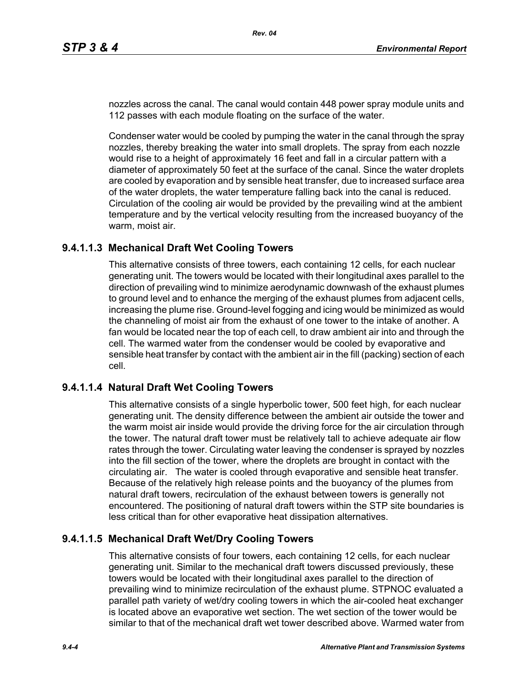nozzles across the canal. The canal would contain 448 power spray module units and 112 passes with each module floating on the surface of the water.

Condenser water would be cooled by pumping the water in the canal through the spray nozzles, thereby breaking the water into small droplets. The spray from each nozzle would rise to a height of approximately 16 feet and fall in a circular pattern with a diameter of approximately 50 feet at the surface of the canal. Since the water droplets are cooled by evaporation and by sensible heat transfer, due to increased surface area of the water droplets, the water temperature falling back into the canal is reduced. Circulation of the cooling air would be provided by the prevailing wind at the ambient temperature and by the vertical velocity resulting from the increased buoyancy of the warm, moist air.

## **9.4.1.1.3 Mechanical Draft Wet Cooling Towers**

This alternative consists of three towers, each containing 12 cells, for each nuclear generating unit. The towers would be located with their longitudinal axes parallel to the direction of prevailing wind to minimize aerodynamic downwash of the exhaust plumes to ground level and to enhance the merging of the exhaust plumes from adjacent cells, increasing the plume rise. Ground-level fogging and icing would be minimized as would the channeling of moist air from the exhaust of one tower to the intake of another. A fan would be located near the top of each cell, to draw ambient air into and through the cell. The warmed water from the condenser would be cooled by evaporative and sensible heat transfer by contact with the ambient air in the fill (packing) section of each cell.

# **9.4.1.1.4 Natural Draft Wet Cooling Towers**

This alternative consists of a single hyperbolic tower, 500 feet high, for each nuclear generating unit. The density difference between the ambient air outside the tower and the warm moist air inside would provide the driving force for the air circulation through the tower. The natural draft tower must be relatively tall to achieve adequate air flow rates through the tower. Circulating water leaving the condenser is sprayed by nozzles into the fill section of the tower, where the droplets are brought in contact with the circulating air. The water is cooled through evaporative and sensible heat transfer. Because of the relatively high release points and the buoyancy of the plumes from natural draft towers, recirculation of the exhaust between towers is generally not encountered. The positioning of natural draft towers within the STP site boundaries is less critical than for other evaporative heat dissipation alternatives.

# **9.4.1.1.5 Mechanical Draft Wet/Dry Cooling Towers**

This alternative consists of four towers, each containing 12 cells, for each nuclear generating unit. Similar to the mechanical draft towers discussed previously, these towers would be located with their longitudinal axes parallel to the direction of prevailing wind to minimize recirculation of the exhaust plume. STPNOC evaluated a parallel path variety of wet/dry cooling towers in which the air-cooled heat exchanger is located above an evaporative wet section. The wet section of the tower would be similar to that of the mechanical draft wet tower described above. Warmed water from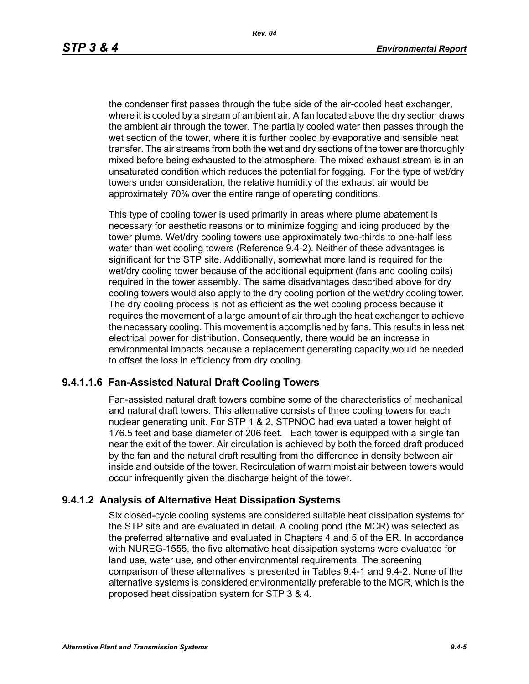the condenser first passes through the tube side of the air-cooled heat exchanger, where it is cooled by a stream of ambient air. A fan located above the dry section draws the ambient air through the tower. The partially cooled water then passes through the wet section of the tower, where it is further cooled by evaporative and sensible heat transfer. The air streams from both the wet and dry sections of the tower are thoroughly mixed before being exhausted to the atmosphere. The mixed exhaust stream is in an unsaturated condition which reduces the potential for fogging. For the type of wet/dry towers under consideration, the relative humidity of the exhaust air would be approximately 70% over the entire range of operating conditions.

This type of cooling tower is used primarily in areas where plume abatement is necessary for aesthetic reasons or to minimize fogging and icing produced by the tower plume. Wet/dry cooling towers use approximately two-thirds to one-half less water than wet cooling towers (Reference 9.4-2). Neither of these advantages is significant for the STP site. Additionally, somewhat more land is required for the wet/dry cooling tower because of the additional equipment (fans and cooling coils) required in the tower assembly. The same disadvantages described above for dry cooling towers would also apply to the dry cooling portion of the wet/dry cooling tower. The dry cooling process is not as efficient as the wet cooling process because it requires the movement of a large amount of air through the heat exchanger to achieve the necessary cooling. This movement is accomplished by fans. This results in less net electrical power for distribution. Consequently, there would be an increase in environmental impacts because a replacement generating capacity would be needed to offset the loss in efficiency from dry cooling.

## **9.4.1.1.6 Fan-Assisted Natural Draft Cooling Towers**

Fan-assisted natural draft towers combine some of the characteristics of mechanical and natural draft towers. This alternative consists of three cooling towers for each nuclear generating unit. For STP 1 & 2, STPNOC had evaluated a tower height of 176.5 feet and base diameter of 206 feet. Each tower is equipped with a single fan near the exit of the tower. Air circulation is achieved by both the forced draft produced by the fan and the natural draft resulting from the difference in density between air inside and outside of the tower. Recirculation of warm moist air between towers would occur infrequently given the discharge height of the tower.

### **9.4.1.2 Analysis of Alternative Heat Dissipation Systems**

Six closed-cycle cooling systems are considered suitable heat dissipation systems for the STP site and are evaluated in detail. A cooling pond (the MCR) was selected as the preferred alternative and evaluated in Chapters 4 and 5 of the ER. In accordance with NUREG-1555, the five alternative heat dissipation systems were evaluated for land use, water use, and other environmental requirements. The screening comparison of these alternatives is presented in Tables 9.4-1 and 9.4-2. None of the alternative systems is considered environmentally preferable to the MCR, which is the proposed heat dissipation system for STP 3 & 4.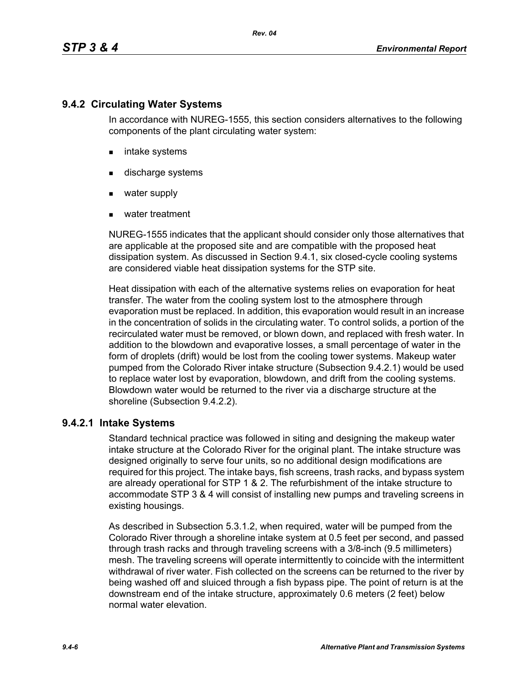# **9.4.2 Circulating Water Systems**

In accordance with NUREG-1555, this section considers alternatives to the following components of the plant circulating water system:

- **n** intake systems
- **discharge systems**
- water supply
- water treatment

NUREG-1555 indicates that the applicant should consider only those alternatives that are applicable at the proposed site and are compatible with the proposed heat dissipation system. As discussed in Section 9.4.1, six closed-cycle cooling systems are considered viable heat dissipation systems for the STP site.

Heat dissipation with each of the alternative systems relies on evaporation for heat transfer. The water from the cooling system lost to the atmosphere through evaporation must be replaced. In addition, this evaporation would result in an increase in the concentration of solids in the circulating water. To control solids, a portion of the recirculated water must be removed, or blown down, and replaced with fresh water. In addition to the blowdown and evaporative losses, a small percentage of water in the form of droplets (drift) would be lost from the cooling tower systems. Makeup water pumped from the Colorado River intake structure (Subsection 9.4.2.1) would be used to replace water lost by evaporation, blowdown, and drift from the cooling systems. Blowdown water would be returned to the river via a discharge structure at the shoreline (Subsection 9.4.2.2).

# **9.4.2.1 Intake Systems**

Standard technical practice was followed in siting and designing the makeup water intake structure at the Colorado River for the original plant. The intake structure was designed originally to serve four units, so no additional design modifications are required for this project. The intake bays, fish screens, trash racks, and bypass system are already operational for STP 1 & 2. The refurbishment of the intake structure to accommodate STP 3 & 4 will consist of installing new pumps and traveling screens in existing housings.

As described in Subsection 5.3.1.2, when required, water will be pumped from the Colorado River through a shoreline intake system at 0.5 feet per second, and passed through trash racks and through traveling screens with a 3/8-inch (9.5 millimeters) mesh. The traveling screens will operate intermittently to coincide with the intermittent withdrawal of river water. Fish collected on the screens can be returned to the river by being washed off and sluiced through a fish bypass pipe. The point of return is at the downstream end of the intake structure, approximately 0.6 meters (2 feet) below normal water elevation.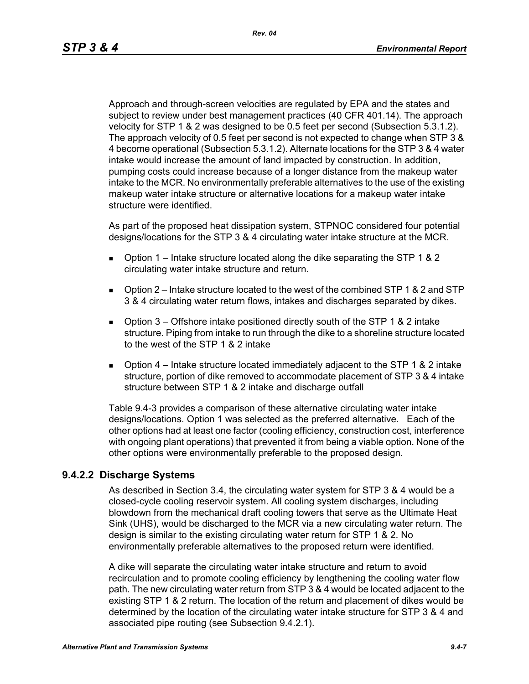*Rev. 04*

Approach and through-screen velocities are regulated by EPA and the states and subject to review under best management practices (40 CFR 401.14). The approach velocity for STP 1 & 2 was designed to be 0.5 feet per second (Subsection 5.3.1.2). The approach velocity of 0.5 feet per second is not expected to change when STP 3 & 4 become operational (Subsection 5.3.1.2). Alternate locations for the STP 3 & 4 water intake would increase the amount of land impacted by construction. In addition, pumping costs could increase because of a longer distance from the makeup water intake to the MCR. No environmentally preferable alternatives to the use of the existing makeup water intake structure or alternative locations for a makeup water intake structure were identified.

As part of the proposed heat dissipation system, STPNOC considered four potential designs/locations for the STP 3 & 4 circulating water intake structure at the MCR.

- **D** Option 1 Intake structure located along the dike separating the STP 1 & 2 circulating water intake structure and return.
- Option 2 Intake structure located to the west of the combined STP 1 & 2 and STP 3 & 4 circulating water return flows, intakes and discharges separated by dikes.
- **D** Option 3 Offshore intake positioned directly south of the STP 1 & 2 intake structure. Piping from intake to run through the dike to a shoreline structure located to the west of the STP 1 & 2 intake
- **D** Option  $4$  Intake structure located immediately adjacent to the STP 1 & 2 intake structure, portion of dike removed to accommodate placement of STP 3 & 4 intake structure between STP 1 & 2 intake and discharge outfall

Table 9.4-3 provides a comparison of these alternative circulating water intake designs/locations. Option 1 was selected as the preferred alternative. Each of the other options had at least one factor (cooling efficiency, construction cost, interference with ongoing plant operations) that prevented it from being a viable option. None of the other options were environmentally preferable to the proposed design.

# **9.4.2.2 Discharge Systems**

As described in Section 3.4, the circulating water system for STP 3 & 4 would be a closed-cycle cooling reservoir system. All cooling system discharges, including blowdown from the mechanical draft cooling towers that serve as the Ultimate Heat Sink (UHS), would be discharged to the MCR via a new circulating water return. The design is similar to the existing circulating water return for STP 1 & 2. No environmentally preferable alternatives to the proposed return were identified.

A dike will separate the circulating water intake structure and return to avoid recirculation and to promote cooling efficiency by lengthening the cooling water flow path. The new circulating water return from STP 3 & 4 would be located adjacent to the existing STP 1 & 2 return. The location of the return and placement of dikes would be determined by the location of the circulating water intake structure for STP 3 & 4 and associated pipe routing (see Subsection 9.4.2.1).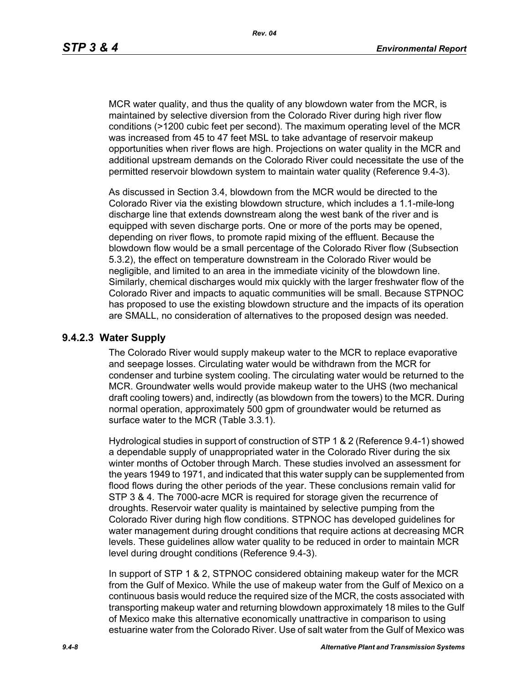MCR water quality, and thus the quality of any blowdown water from the MCR, is maintained by selective diversion from the Colorado River during high river flow conditions (>1200 cubic feet per second). The maximum operating level of the MCR was increased from 45 to 47 feet MSL to take advantage of reservoir makeup opportunities when river flows are high. Projections on water quality in the MCR and additional upstream demands on the Colorado River could necessitate the use of the permitted reservoir blowdown system to maintain water quality (Reference 9.4-3).

As discussed in Section 3.4, blowdown from the MCR would be directed to the Colorado River via the existing blowdown structure, which includes a 1.1-mile-long discharge line that extends downstream along the west bank of the river and is equipped with seven discharge ports. One or more of the ports may be opened, depending on river flows, to promote rapid mixing of the effluent. Because the blowdown flow would be a small percentage of the Colorado River flow (Subsection 5.3.2), the effect on temperature downstream in the Colorado River would be negligible, and limited to an area in the immediate vicinity of the blowdown line. Similarly, chemical discharges would mix quickly with the larger freshwater flow of the Colorado River and impacts to aquatic communities will be small. Because STPNOC has proposed to use the existing blowdown structure and the impacts of its operation are SMALL, no consideration of alternatives to the proposed design was needed.

### **9.4.2.3 Water Supply**

The Colorado River would supply makeup water to the MCR to replace evaporative and seepage losses. Circulating water would be withdrawn from the MCR for condenser and turbine system cooling. The circulating water would be returned to the MCR. Groundwater wells would provide makeup water to the UHS (two mechanical draft cooling towers) and, indirectly (as blowdown from the towers) to the MCR. During normal operation, approximately 500 gpm of groundwater would be returned as surface water to the MCR (Table 3.3.1).

Hydrological studies in support of construction of STP 1 & 2 (Reference 9.4-1) showed a dependable supply of unappropriated water in the Colorado River during the six winter months of October through March. These studies involved an assessment for the years 1949 to 1971, and indicated that this water supply can be supplemented from flood flows during the other periods of the year. These conclusions remain valid for STP 3 & 4. The 7000-acre MCR is required for storage given the recurrence of droughts. Reservoir water quality is maintained by selective pumping from the Colorado River during high flow conditions. STPNOC has developed guidelines for water management during drought conditions that require actions at decreasing MCR levels. These guidelines allow water quality to be reduced in order to maintain MCR level during drought conditions (Reference 9.4-3).

In support of STP 1 & 2, STPNOC considered obtaining makeup water for the MCR from the Gulf of Mexico. While the use of makeup water from the Gulf of Mexico on a continuous basis would reduce the required size of the MCR, the costs associated with transporting makeup water and returning blowdown approximately 18 miles to the Gulf of Mexico make this alternative economically unattractive in comparison to using estuarine water from the Colorado River. Use of salt water from the Gulf of Mexico was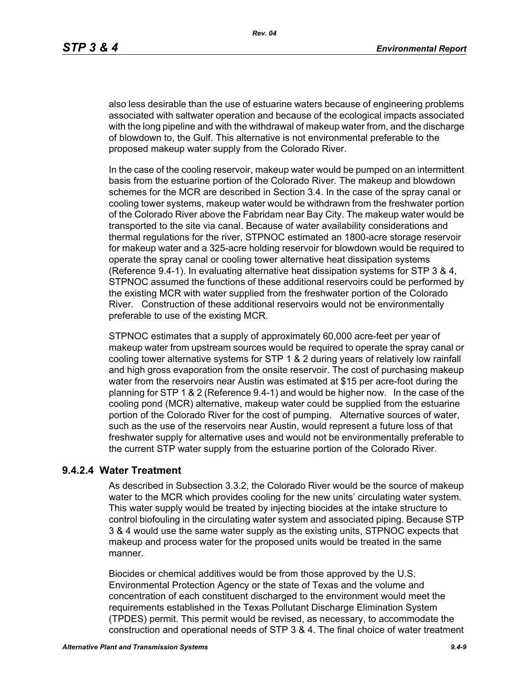also less desirable than the use of estuarine waters because of engineering problems associated with saltwater operation and because of the ecological impacts associated with the long pipeline and with the withdrawal of makeup water from, and the discharge of blowdown to, the Gulf. This alternative is not environmental preferable to the proposed makeup water supply from the Colorado River.

In the case of the cooling reservoir, makeup water would be pumped on an intermittent basis from the estuarine portion of the Colorado River. The makeup and blowdown schemes for the MCR are described in Section 3.4. In the case of the spray canal or cooling tower systems, makeup water would be withdrawn from the freshwater portion of the Colorado River above the Fabridam near Bay City. The makeup water would be transported to the site via canal. Because of water availability considerations and thermal regulations for the river, STPNOC estimated an 1800-acre storage reservoir for makeup water and a 325-acre holding reservoir for blowdown would be required to operate the spray canal or cooling tower alternative heat dissipation systems (Reference 9.4-1). In evaluating alternative heat dissipation systems for STP 3 & 4, STPNOC assumed the functions of these additional reservoirs could be performed by the existing MCR with water supplied from the freshwater portion of the Colorado River. Construction of these additional reservoirs would not be environmentally preferable to use of the existing MCR.

STPNOC estimates that a supply of approximately 60,000 acre-feet per year of makeup water from upstream sources would be required to operate the spray canal or cooling tower alternative systems for STP 1 & 2 during years of relatively low rainfall and high gross evaporation from the onsite reservoir. The cost of purchasing makeup water from the reservoirs near Austin was estimated at \$15 per acre-foot during the planning for STP 1 & 2 (Reference 9.4-1) and would be higher now. In the case of the cooling pond (MCR) alternative, makeup water could be supplied from the estuarine portion of the Colorado River for the cost of pumping. Alternative sources of water, such as the use of the reservoirs near Austin, would represent a future loss of that freshwater supply for alternative uses and would not be environmentally preferable to the current STP water supply from the estuarine portion of the Colorado River.

## **9.4.2.4 Water Treatment**

As described in Subsection 3.3.2, the Colorado River would be the source of makeup water to the MCR which provides cooling for the new units' circulating water system. This water supply would be treated by injecting biocides at the intake structure to control biofouling in the circulating water system and associated piping. Because STP 3 & 4 would use the same water supply as the existing units, STPNOC expects that makeup and process water for the proposed units would be treated in the same manner.

Biocides or chemical additives would be from those approved by the U.S. Environmental Protection Agency or the state of Texas and the volume and concentration of each constituent discharged to the environment would meet the requirements established in the Texas Pollutant Discharge Elimination System (TPDES) permit. This permit would be revised, as necessary, to accommodate the construction and operational needs of STP 3 & 4. The final choice of water treatment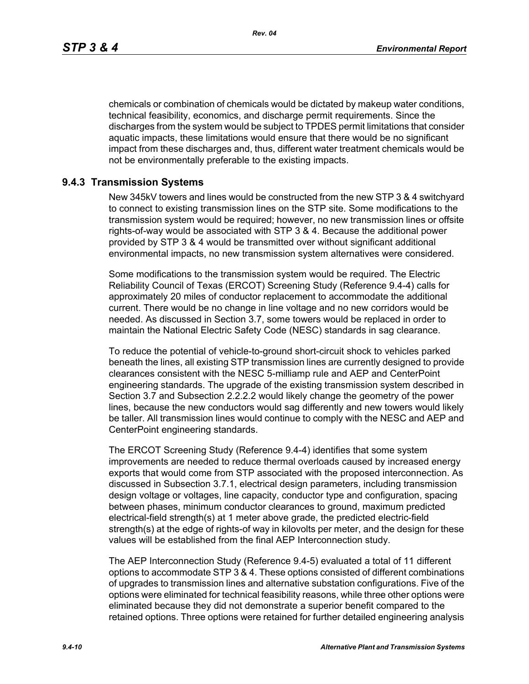*Rev. 04*

chemicals or combination of chemicals would be dictated by makeup water conditions, technical feasibility, economics, and discharge permit requirements. Since the discharges from the system would be subject to TPDES permit limitations that consider aquatic impacts, these limitations would ensure that there would be no significant impact from these discharges and, thus, different water treatment chemicals would be not be environmentally preferable to the existing impacts.

# **9.4.3 Transmission Systems**

New 345kV towers and lines would be constructed from the new STP 3 & 4 switchyard to connect to existing transmission lines on the STP site. Some modifications to the transmission system would be required; however, no new transmission lines or offsite rights-of-way would be associated with STP 3 & 4. Because the additional power provided by STP 3 & 4 would be transmitted over without significant additional environmental impacts, no new transmission system alternatives were considered.

Some modifications to the transmission system would be required. The Electric Reliability Council of Texas (ERCOT) Screening Study (Reference 9.4-4) calls for approximately 20 miles of conductor replacement to accommodate the additional current. There would be no change in line voltage and no new corridors would be needed. As discussed in Section 3.7, some towers would be replaced in order to maintain the National Electric Safety Code (NESC) standards in sag clearance.

To reduce the potential of vehicle-to-ground short-circuit shock to vehicles parked beneath the lines, all existing STP transmission lines are currently designed to provide clearances consistent with the NESC 5-milliamp rule and AEP and CenterPoint engineering standards. The upgrade of the existing transmission system described in Section 3.7 and Subsection 2.2.2.2 would likely change the geometry of the power lines, because the new conductors would sag differently and new towers would likely be taller. All transmission lines would continue to comply with the NESC and AEP and CenterPoint engineering standards.

The ERCOT Screening Study (Reference 9.4-4) identifies that some system improvements are needed to reduce thermal overloads caused by increased energy exports that would come from STP associated with the proposed interconnection. As discussed in Subsection 3.7.1, electrical design parameters, including transmission design voltage or voltages, line capacity, conductor type and configuration, spacing between phases, minimum conductor clearances to ground, maximum predicted electrical-field strength(s) at 1 meter above grade, the predicted electric-field strength(s) at the edge of rights-of way in kilovolts per meter, and the design for these values will be established from the final AEP Interconnection study.

The AEP Interconnection Study (Reference 9.4-5) evaluated a total of 11 different options to accommodate STP 3 & 4. These options consisted of different combinations of upgrades to transmission lines and alternative substation configurations. Five of the options were eliminated for technical feasibility reasons, while three other options were eliminated because they did not demonstrate a superior benefit compared to the retained options. Three options were retained for further detailed engineering analysis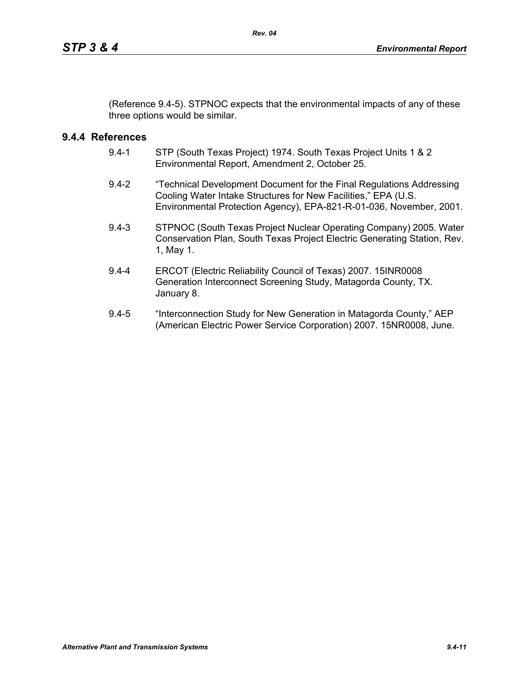(Reference 9.4-5). STPNOC expects that the environmental impacts of any of these three options would be similar.

# **9.4.4 References**

- 9.4-1 STP (South Texas Project) 1974. South Texas Project Units 1 & 2 Environmental Report, Amendment 2, October 25.
- 9.4-2 "Technical Development Document for the Final Regulations Addressing Cooling Water Intake Structures for New Facilities," EPA (U.S. Environmental Protection Agency), EPA-821-R-01-036, November, 2001.
- 9.4-3 STPNOC (South Texas Project Nuclear Operating Company) 2005. Water Conservation Plan, South Texas Project Electric Generating Station, Rev. 1, May 1.
- 9.4-4 ERCOT (Electric Reliability Council of Texas) 2007. 15INR0008 Generation Interconnect Screening Study, Matagorda County, TX. January 8.
- 9.4-5 "Interconnection Study for New Generation in Matagorda County," AEP (American Electric Power Service Corporation) 2007. 15NR0008, June.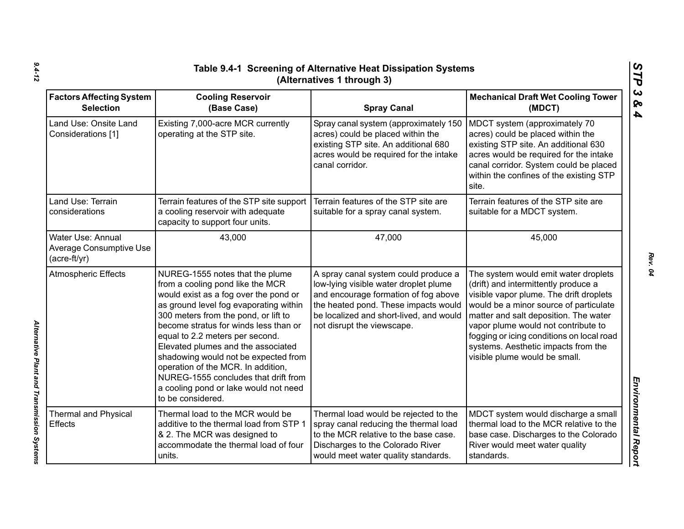| Table 9.4-1 Screening of Alternative Heat Dissipation Systems<br>(Alternatives 1 through 3) |                                                                                                                                                                                                                                                                                                                                                                                                                                                                                                      |                                                                                                                                                                                                                                        |                                                                                                                                                                                                                                                                                                                                                                        |  |
|---------------------------------------------------------------------------------------------|------------------------------------------------------------------------------------------------------------------------------------------------------------------------------------------------------------------------------------------------------------------------------------------------------------------------------------------------------------------------------------------------------------------------------------------------------------------------------------------------------|----------------------------------------------------------------------------------------------------------------------------------------------------------------------------------------------------------------------------------------|------------------------------------------------------------------------------------------------------------------------------------------------------------------------------------------------------------------------------------------------------------------------------------------------------------------------------------------------------------------------|--|
| <b>Factors Affecting System</b><br><b>Selection</b>                                         | <b>Cooling Reservoir</b><br>(Base Case)                                                                                                                                                                                                                                                                                                                                                                                                                                                              | <b>Spray Canal</b>                                                                                                                                                                                                                     | <b>Mechanical Draft Wet Cooling Tower</b><br>(MDCT)                                                                                                                                                                                                                                                                                                                    |  |
| Land Use: Onsite Land<br>Considerations [1]                                                 | Existing 7,000-acre MCR currently<br>operating at the STP site.                                                                                                                                                                                                                                                                                                                                                                                                                                      | Spray canal system (approximately 150<br>acres) could be placed within the<br>existing STP site. An additional 680<br>acres would be required for the intake<br>canal corridor.                                                        | MDCT system (approximately 70<br>acres) could be placed within the<br>existing STP site. An additional 630<br>acres would be required for the intake<br>canal corridor. System could be placed<br>within the confines of the existing STP<br>site.                                                                                                                     |  |
| Land Use: Terrain<br>considerations                                                         | Terrain features of the STP site support<br>a cooling reservoir with adequate<br>capacity to support four units.                                                                                                                                                                                                                                                                                                                                                                                     | Terrain features of the STP site are<br>suitable for a spray canal system.                                                                                                                                                             | Terrain features of the STP site are<br>suitable for a MDCT system.                                                                                                                                                                                                                                                                                                    |  |
| Water Use: Annual<br><b>Average Consumptive Use</b><br>$(acre-ft/yr)$                       | 43,000                                                                                                                                                                                                                                                                                                                                                                                                                                                                                               | 47,000                                                                                                                                                                                                                                 | 45,000                                                                                                                                                                                                                                                                                                                                                                 |  |
| <b>Atmospheric Effects</b>                                                                  | NUREG-1555 notes that the plume<br>from a cooling pond like the MCR<br>would exist as a fog over the pond or<br>as ground level fog evaporating within<br>300 meters from the pond, or lift to<br>become stratus for winds less than or<br>equal to 2.2 meters per second.<br>Elevated plumes and the associated<br>shadowing would not be expected from<br>operation of the MCR. In addition,<br>NUREG-1555 concludes that drift from<br>a cooling pond or lake would not need<br>to be considered. | A spray canal system could produce a<br>low-lying visible water droplet plume<br>and encourage formation of fog above<br>the heated pond. These impacts would<br>be localized and short-lived, and would<br>not disrupt the viewscape. | The system would emit water droplets<br>(drift) and intermittently produce a<br>visible vapor plume. The drift droplets<br>would be a minor source of particulate<br>matter and salt deposition. The water<br>vapor plume would not contribute to<br>fogging or icing conditions on local road<br>systems. Aesthetic impacts from the<br>visible plume would be small. |  |
| <b>Thermal and Physical</b><br><b>Effects</b>                                               | Thermal load to the MCR would be<br>additive to the thermal load from STP 1<br>& 2. The MCR was designed to<br>accommodate the thermal load of four<br>units.                                                                                                                                                                                                                                                                                                                                        | Thermal load would be rejected to the<br>spray canal reducing the thermal load<br>to the MCR relative to the base case.<br>Discharges to the Colorado River<br>would meet water quality standards.                                     | MDCT system would discharge a small<br>thermal load to the MCR relative to the<br>base case. Discharges to the Colorado<br>River would meet water quality<br>standards.                                                                                                                                                                                                |  |

*Alternative Plant and Transmission Systems* 

Alternative Plant and Transmission Systems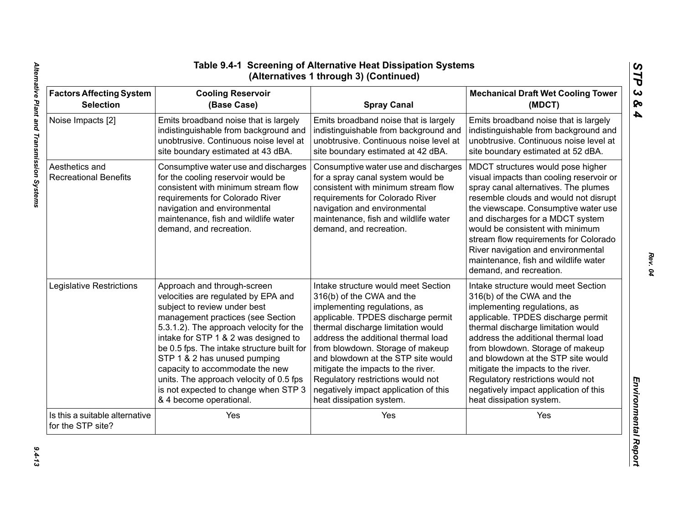| <b>Factors Affecting System</b>                     | <b>Cooling Reservoir</b>                                                                                                                                                                                                                                | <b>Spray Canal</b>                                                                                                                                                                                                                                     | <b>Mechanical Draft Wet Cooling Tower</b>                                                                                                                                                                                                                                                                                                                                                                                        |
|-----------------------------------------------------|---------------------------------------------------------------------------------------------------------------------------------------------------------------------------------------------------------------------------------------------------------|--------------------------------------------------------------------------------------------------------------------------------------------------------------------------------------------------------------------------------------------------------|----------------------------------------------------------------------------------------------------------------------------------------------------------------------------------------------------------------------------------------------------------------------------------------------------------------------------------------------------------------------------------------------------------------------------------|
| <b>Selection</b>                                    | (Base Case)                                                                                                                                                                                                                                             |                                                                                                                                                                                                                                                        | (MDCT)                                                                                                                                                                                                                                                                                                                                                                                                                           |
| Noise Impacts [2]                                   | Emits broadband noise that is largely                                                                                                                                                                                                                   | Emits broadband noise that is largely                                                                                                                                                                                                                  | Emits broadband noise that is largely                                                                                                                                                                                                                                                                                                                                                                                            |
|                                                     | indistinguishable from background and                                                                                                                                                                                                                   | indistinguishable from background and                                                                                                                                                                                                                  | indistinguishable from background and                                                                                                                                                                                                                                                                                                                                                                                            |
|                                                     | unobtrusive. Continuous noise level at                                                                                                                                                                                                                  | unobtrusive. Continuous noise level at                                                                                                                                                                                                                 | unobtrusive. Continuous noise level at                                                                                                                                                                                                                                                                                                                                                                                           |
|                                                     | site boundary estimated at 43 dBA.                                                                                                                                                                                                                      | site boundary estimated at 42 dBA.                                                                                                                                                                                                                     | site boundary estimated at 52 dBA.                                                                                                                                                                                                                                                                                                                                                                                               |
| Aesthetics and<br><b>Recreational Benefits</b>      | Consumptive water use and discharges<br>for the cooling reservoir would be<br>consistent with minimum stream flow<br>requirements for Colorado River<br>navigation and environmental<br>maintenance, fish and wildlife water<br>demand, and recreation. | Consumptive water use and discharges<br>for a spray canal system would be<br>consistent with minimum stream flow<br>requirements for Colorado River<br>navigation and environmental<br>maintenance, fish and wildlife water<br>demand, and recreation. | MDCT structures would pose higher<br>visual impacts than cooling reservoir or<br>spray canal alternatives. The plumes<br>resemble clouds and would not disrupt<br>the viewscape. Consumptive water use<br>and discharges for a MDCT system<br>would be consistent with minimum<br>stream flow requirements for Colorado<br>River navigation and environmental<br>maintenance, fish and wildlife water<br>demand, and recreation. |
| Legislative Restrictions                            | Approach and through-screen                                                                                                                                                                                                                             | Intake structure would meet Section                                                                                                                                                                                                                    | Intake structure would meet Section                                                                                                                                                                                                                                                                                                                                                                                              |
|                                                     | velocities are regulated by EPA and                                                                                                                                                                                                                     | 316(b) of the CWA and the                                                                                                                                                                                                                              | 316(b) of the CWA and the                                                                                                                                                                                                                                                                                                                                                                                                        |
|                                                     | subject to review under best                                                                                                                                                                                                                            | implementing regulations, as                                                                                                                                                                                                                           | implementing regulations, as                                                                                                                                                                                                                                                                                                                                                                                                     |
|                                                     | management practices (see Section                                                                                                                                                                                                                       | applicable. TPDES discharge permit                                                                                                                                                                                                                     | applicable. TPDES discharge permit                                                                                                                                                                                                                                                                                                                                                                                               |
|                                                     | 5.3.1.2). The approach velocity for the                                                                                                                                                                                                                 | thermal discharge limitation would                                                                                                                                                                                                                     | thermal discharge limitation would                                                                                                                                                                                                                                                                                                                                                                                               |
|                                                     | intake for STP 1 & 2 was designed to                                                                                                                                                                                                                    | address the additional thermal load                                                                                                                                                                                                                    | address the additional thermal load                                                                                                                                                                                                                                                                                                                                                                                              |
|                                                     | be 0.5 fps. The intake structure built for                                                                                                                                                                                                              | from blowdown. Storage of makeup                                                                                                                                                                                                                       | from blowdown. Storage of makeup                                                                                                                                                                                                                                                                                                                                                                                                 |
|                                                     | STP 1 & 2 has unused pumping                                                                                                                                                                                                                            | and blowdown at the STP site would                                                                                                                                                                                                                     | and blowdown at the STP site would                                                                                                                                                                                                                                                                                                                                                                                               |
|                                                     | capacity to accommodate the new                                                                                                                                                                                                                         | mitigate the impacts to the river.                                                                                                                                                                                                                     | mitigate the impacts to the river.                                                                                                                                                                                                                                                                                                                                                                                               |
|                                                     | units. The approach velocity of 0.5 fps                                                                                                                                                                                                                 | Regulatory restrictions would not                                                                                                                                                                                                                      | Regulatory restrictions would not                                                                                                                                                                                                                                                                                                                                                                                                |
|                                                     | is not expected to change when STP 3                                                                                                                                                                                                                    | negatively impact application of this                                                                                                                                                                                                                  | negatively impact application of this                                                                                                                                                                                                                                                                                                                                                                                            |
|                                                     | & 4 become operational.                                                                                                                                                                                                                                 | heat dissipation system.                                                                                                                                                                                                                               | heat dissipation system.                                                                                                                                                                                                                                                                                                                                                                                                         |
| Is this a suitable alternative<br>for the STP site? | Yes                                                                                                                                                                                                                                                     | Yes                                                                                                                                                                                                                                                    | Yes                                                                                                                                                                                                                                                                                                                                                                                                                              |

*Rev. 04*

*STP 3 & 4*

 $9.4 - 13$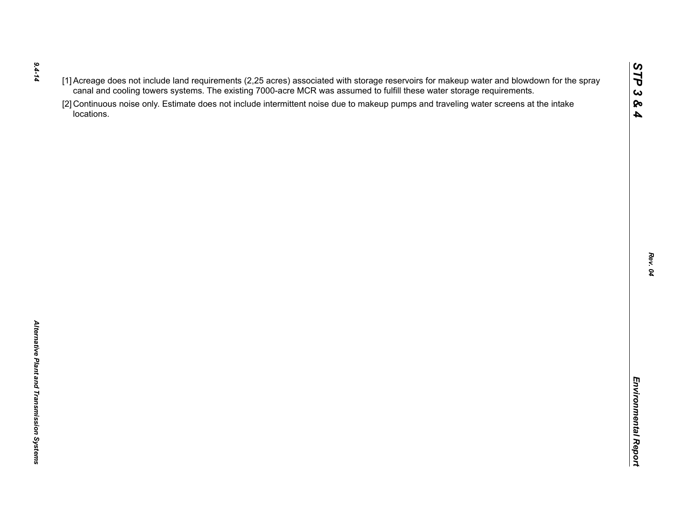- *9.4-14*
- 
- $(1)$  Accessors of the rich requirements (2.25 are once to the was assumed to furth these water storage requirements.<br>
Caroline of the control of the state of the state of the state of the state of the state of the state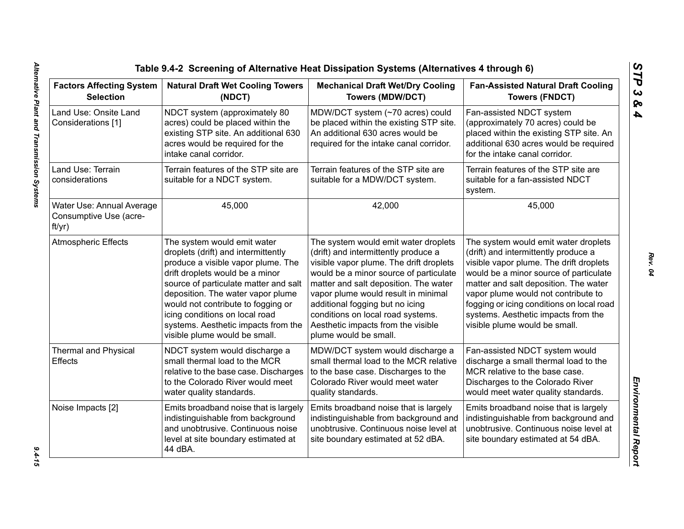| <b>Factors Affecting System</b><br><b>Selection</b>           | <b>Natural Draft Wet Cooling Towers</b><br>(NDCT)                                                                                                                                                                                                                                                                                                                         | <b>Mechanical Draft Wet/Dry Cooling</b><br><b>Towers (MDW/DCT)</b>                                                                                                                                                                                                                                                                                                                       | <b>Fan-Assisted Natural Draft Cooling</b><br><b>Towers (FNDCT)</b>                                                                                                                                                                                                                                                                                                     |  |
|---------------------------------------------------------------|---------------------------------------------------------------------------------------------------------------------------------------------------------------------------------------------------------------------------------------------------------------------------------------------------------------------------------------------------------------------------|------------------------------------------------------------------------------------------------------------------------------------------------------------------------------------------------------------------------------------------------------------------------------------------------------------------------------------------------------------------------------------------|------------------------------------------------------------------------------------------------------------------------------------------------------------------------------------------------------------------------------------------------------------------------------------------------------------------------------------------------------------------------|--|
| Land Use: Onsite Land<br>Considerations [1]                   | NDCT system (approximately 80<br>acres) could be placed within the<br>existing STP site. An additional 630<br>acres would be required for the<br>intake canal corridor.                                                                                                                                                                                                   | MDW/DCT system (~70 acres) could<br>be placed within the existing STP site.<br>An additional 630 acres would be<br>required for the intake canal corridor.                                                                                                                                                                                                                               | Fan-assisted NDCT system<br>(approximately 70 acres) could be<br>placed within the existing STP site. An<br>additional 630 acres would be required<br>for the intake canal corridor.                                                                                                                                                                                   |  |
| Land Use: Terrain<br>considerations                           | Terrain features of the STP site are<br>suitable for a NDCT system.                                                                                                                                                                                                                                                                                                       | Terrain features of the STP site are<br>suitable for a MDW/DCT system.                                                                                                                                                                                                                                                                                                                   | Terrain features of the STP site are<br>suitable for a fan-assisted NDCT<br>system.                                                                                                                                                                                                                                                                                    |  |
| Water Use: Annual Average<br>Consumptive Use (acre-<br>ft/yr) | 45,000                                                                                                                                                                                                                                                                                                                                                                    | 42,000                                                                                                                                                                                                                                                                                                                                                                                   | 45,000                                                                                                                                                                                                                                                                                                                                                                 |  |
| <b>Atmospheric Effects</b>                                    | The system would emit water<br>droplets (drift) and intermittently<br>produce a visible vapor plume. The<br>drift droplets would be a minor<br>source of particulate matter and salt<br>deposition. The water vapor plume<br>would not contribute to fogging or<br>icing conditions on local road<br>systems. Aesthetic impacts from the<br>visible plume would be small. | The system would emit water droplets<br>(drift) and intermittently produce a<br>visible vapor plume. The drift droplets<br>would be a minor source of particulate<br>matter and salt deposition. The water<br>vapor plume would result in minimal<br>additional fogging but no icing<br>conditions on local road systems.<br>Aesthetic impacts from the visible<br>plume would be small. | The system would emit water droplets<br>(drift) and intermittently produce a<br>visible vapor plume. The drift droplets<br>would be a minor source of particulate<br>matter and salt deposition. The water<br>vapor plume would not contribute to<br>fogging or icing conditions on local road<br>systems. Aesthetic impacts from the<br>visible plume would be small. |  |
| <b>Thermal and Physical</b><br>Effects                        | NDCT system would discharge a<br>small thermal load to the MCR<br>relative to the base case. Discharges<br>to the Colorado River would meet<br>water quality standards.                                                                                                                                                                                                   | MDW/DCT system would discharge a<br>small thermal load to the MCR relative<br>to the base case. Discharges to the<br>Colorado River would meet water<br>quality standards.                                                                                                                                                                                                               | Fan-assisted NDCT system would<br>discharge a small thermal load to the<br>MCR relative to the base case.<br>Discharges to the Colorado River<br>would meet water quality standards.                                                                                                                                                                                   |  |
| Noise Impacts [2]                                             | Emits broadband noise that is largely<br>indistinguishable from background<br>and unobtrusive. Continuous noise<br>level at site boundary estimated at<br>44 dBA.                                                                                                                                                                                                         | Emits broadband noise that is largely<br>indistinguishable from background and<br>unobtrusive. Continuous noise level at<br>site boundary estimated at 52 dBA.                                                                                                                                                                                                                           | Emits broadband noise that is largely<br>indistinguishable from background and<br>unobtrusive. Continuous noise level at<br>site boundary estimated at 54 dBA.                                                                                                                                                                                                         |  |

*STP 3 & 4*

 $9.4 - 15$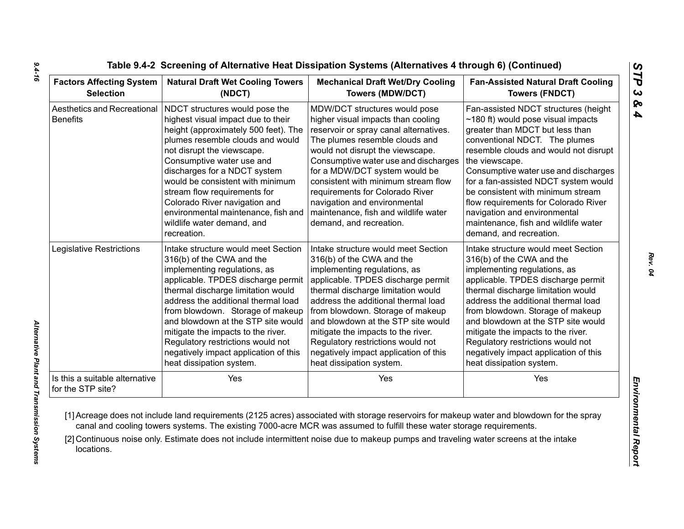| <b>Factors Affecting System</b>                     | <b>Natural Draft Wet Cooling Towers</b>                                                                                                                                                                                                                                                                                                                                                                                              | <b>Mechanical Draft Wet/Dry Cooling</b>                                                                                                                                                                                                                                                                                                                                                                                                   | <b>Fan-Assisted Natural Draft Cooling</b>                                                                                                                                                                                                                                                                                                                                                                                                                                       |  |
|-----------------------------------------------------|--------------------------------------------------------------------------------------------------------------------------------------------------------------------------------------------------------------------------------------------------------------------------------------------------------------------------------------------------------------------------------------------------------------------------------------|-------------------------------------------------------------------------------------------------------------------------------------------------------------------------------------------------------------------------------------------------------------------------------------------------------------------------------------------------------------------------------------------------------------------------------------------|---------------------------------------------------------------------------------------------------------------------------------------------------------------------------------------------------------------------------------------------------------------------------------------------------------------------------------------------------------------------------------------------------------------------------------------------------------------------------------|--|
| <b>Selection</b>                                    | (NDCT)                                                                                                                                                                                                                                                                                                                                                                                                                               | <b>Towers (MDW/DCT)</b>                                                                                                                                                                                                                                                                                                                                                                                                                   | <b>Towers (FNDCT)</b>                                                                                                                                                                                                                                                                                                                                                                                                                                                           |  |
| Aesthetics and Recreational<br><b>Benefits</b>      | NDCT structures would pose the<br>highest visual impact due to their<br>height (approximately 500 feet). The<br>plumes resemble clouds and would<br>not disrupt the viewscape.<br>Consumptive water use and<br>discharges for a NDCT system<br>would be consistent with minimum<br>stream flow requirements for<br>Colorado River navigation and<br>environmental maintenance, fish and<br>wildlife water demand, and<br>recreation. | MDW/DCT structures would pose<br>higher visual impacts than cooling<br>reservoir or spray canal alternatives.<br>The plumes resemble clouds and<br>would not disrupt the viewscape.<br>Consumptive water use and discharges<br>for a MDW/DCT system would be<br>consistent with minimum stream flow<br>requirements for Colorado River<br>navigation and environmental<br>maintenance, fish and wildlife water<br>demand, and recreation. | Fan-assisted NDCT structures (height<br>$\sim$ 180 ft) would pose visual impacts<br>greater than MDCT but less than<br>conventional NDCT. The plumes<br>resemble clouds and would not disrupt<br>the viewscape.<br>Consumptive water use and discharges<br>for a fan-assisted NDCT system would<br>be consistent with minimum stream<br>flow requirements for Colorado River<br>navigation and environmental<br>maintenance, fish and wildlife water<br>demand, and recreation. |  |
| Legislative Restrictions                            | Intake structure would meet Section                                                                                                                                                                                                                                                                                                                                                                                                  | Intake structure would meet Section                                                                                                                                                                                                                                                                                                                                                                                                       | Intake structure would meet Section                                                                                                                                                                                                                                                                                                                                                                                                                                             |  |
|                                                     | 316(b) of the CWA and the                                                                                                                                                                                                                                                                                                                                                                                                            | 316(b) of the CWA and the                                                                                                                                                                                                                                                                                                                                                                                                                 | 316(b) of the CWA and the                                                                                                                                                                                                                                                                                                                                                                                                                                                       |  |
|                                                     | implementing regulations, as                                                                                                                                                                                                                                                                                                                                                                                                         | implementing regulations, as                                                                                                                                                                                                                                                                                                                                                                                                              | implementing regulations, as                                                                                                                                                                                                                                                                                                                                                                                                                                                    |  |
|                                                     | applicable. TPDES discharge permit                                                                                                                                                                                                                                                                                                                                                                                                   | applicable. TPDES discharge permit                                                                                                                                                                                                                                                                                                                                                                                                        | applicable. TPDES discharge permit                                                                                                                                                                                                                                                                                                                                                                                                                                              |  |
|                                                     | thermal discharge limitation would                                                                                                                                                                                                                                                                                                                                                                                                   | thermal discharge limitation would                                                                                                                                                                                                                                                                                                                                                                                                        | thermal discharge limitation would                                                                                                                                                                                                                                                                                                                                                                                                                                              |  |
|                                                     | address the additional thermal load                                                                                                                                                                                                                                                                                                                                                                                                  | address the additional thermal load                                                                                                                                                                                                                                                                                                                                                                                                       | address the additional thermal load                                                                                                                                                                                                                                                                                                                                                                                                                                             |  |
|                                                     | from blowdown. Storage of makeup                                                                                                                                                                                                                                                                                                                                                                                                     | from blowdown. Storage of makeup                                                                                                                                                                                                                                                                                                                                                                                                          | from blowdown. Storage of makeup                                                                                                                                                                                                                                                                                                                                                                                                                                                |  |
|                                                     | and blowdown at the STP site would                                                                                                                                                                                                                                                                                                                                                                                                   | and blowdown at the STP site would                                                                                                                                                                                                                                                                                                                                                                                                        | and blowdown at the STP site would                                                                                                                                                                                                                                                                                                                                                                                                                                              |  |
|                                                     | mitigate the impacts to the river.                                                                                                                                                                                                                                                                                                                                                                                                   | mitigate the impacts to the river.                                                                                                                                                                                                                                                                                                                                                                                                        | mitigate the impacts to the river.                                                                                                                                                                                                                                                                                                                                                                                                                                              |  |
|                                                     | Regulatory restrictions would not                                                                                                                                                                                                                                                                                                                                                                                                    | Regulatory restrictions would not                                                                                                                                                                                                                                                                                                                                                                                                         | Regulatory restrictions would not                                                                                                                                                                                                                                                                                                                                                                                                                                               |  |
|                                                     | negatively impact application of this                                                                                                                                                                                                                                                                                                                                                                                                | negatively impact application of this                                                                                                                                                                                                                                                                                                                                                                                                     | negatively impact application of this                                                                                                                                                                                                                                                                                                                                                                                                                                           |  |
|                                                     | heat dissipation system.                                                                                                                                                                                                                                                                                                                                                                                                             | heat dissipation system.                                                                                                                                                                                                                                                                                                                                                                                                                  | heat dissipation system.                                                                                                                                                                                                                                                                                                                                                                                                                                                        |  |
| Is this a suitable alternative<br>for the STP site? | Yes                                                                                                                                                                                                                                                                                                                                                                                                                                  | Yes                                                                                                                                                                                                                                                                                                                                                                                                                                       | Yes                                                                                                                                                                                                                                                                                                                                                                                                                                                                             |  |

*9.4-16*

*Rev. 04*

*STP 3 & 4*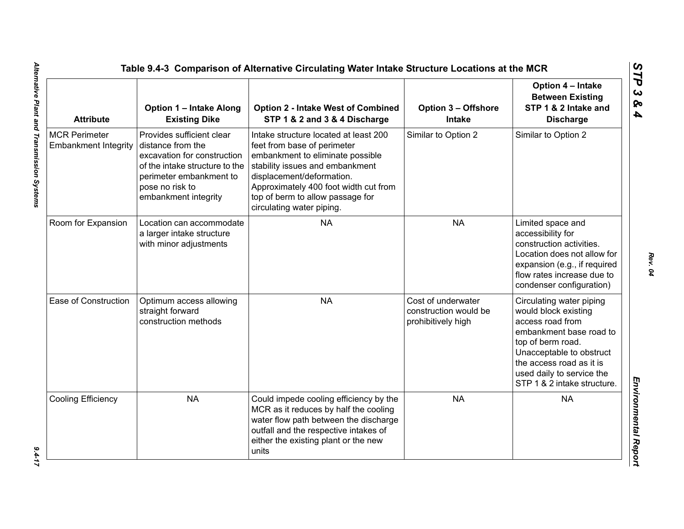| <b>Attribute</b>                                    | <b>Option 1 - Intake Along</b><br><b>Existing Dike</b>                                                                                                                                | <b>Option 2 - Intake West of Combined</b><br>STP 1 & 2 and 3 & 4 Discharge                                                                                                                                                                                                         | <b>Option 3 - Offshore</b><br>Intake                              | Option 4 - Intake<br><b>Between Existing</b><br>STP 1 & 2 Intake and<br><b>Discharge</b>                                                                                                                                                 |
|-----------------------------------------------------|---------------------------------------------------------------------------------------------------------------------------------------------------------------------------------------|------------------------------------------------------------------------------------------------------------------------------------------------------------------------------------------------------------------------------------------------------------------------------------|-------------------------------------------------------------------|------------------------------------------------------------------------------------------------------------------------------------------------------------------------------------------------------------------------------------------|
| <b>MCR Perimeter</b><br><b>Embankment Integrity</b> | Provides sufficient clear<br>distance from the<br>excavation for construction<br>of the intake structure to the<br>perimeter embankment to<br>pose no risk to<br>embankment integrity | Intake structure located at least 200<br>feet from base of perimeter<br>embankment to eliminate possible<br>stability issues and embankment<br>displacement/deformation.<br>Approximately 400 foot width cut from<br>top of berm to allow passage for<br>circulating water piping. | Similar to Option 2                                               | Similar to Option 2                                                                                                                                                                                                                      |
| Room for Expansion                                  | Location can accommodate<br>a larger intake structure<br>with minor adjustments                                                                                                       | <b>NA</b>                                                                                                                                                                                                                                                                          | <b>NA</b>                                                         | Limited space and<br>accessibility for<br>construction activities.<br>Location does not allow for<br>expansion (e.g., if required<br>flow rates increase due to<br>condenser configuration)                                              |
| Ease of Construction                                | Optimum access allowing<br>straight forward<br>construction methods                                                                                                                   | <b>NA</b>                                                                                                                                                                                                                                                                          | Cost of underwater<br>construction would be<br>prohibitively high | Circulating water piping<br>would block existing<br>access road from<br>embankment base road to<br>top of berm road.<br>Unacceptable to obstruct<br>the access road as it is<br>used daily to service the<br>STP 1 & 2 intake structure. |
| <b>Cooling Efficiency</b>                           | <b>NA</b>                                                                                                                                                                             | Could impede cooling efficiency by the<br>MCR as it reduces by half the cooling<br>water flow path between the discharge<br>outfall and the respective intakes of<br>either the existing plant or the new<br>units                                                                 | <b>NA</b>                                                         | <b>NA</b>                                                                                                                                                                                                                                |

 $9.4 - 17$